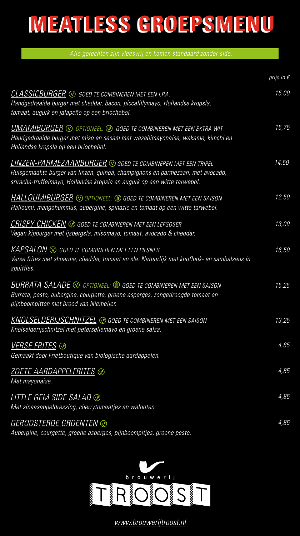## **MEATLESS GROEPSMENU MEATLESS GROEPSMENU**

*Alle gerechten zijn vleesvrij en komen standaard zonder side.*

|                                                                                                                                                                                                                          | prijs in $\epsilon$ |
|--------------------------------------------------------------------------------------------------------------------------------------------------------------------------------------------------------------------------|---------------------|
| CLASSICBURGER $\odot$ goed te combineren met een i.p.a.<br>Handgedraaide burger met cheddar, bacon, piccalillymayo, Hollandse kropsla,<br>tomaat, augurk en jalapeño op een briochebol.                                  | 15,00               |
| <b>UMAMIBURGER</b> $\odot$ optioneel: $\odot$ goed te combineren met een extra wit<br>Handgedraaide burger met miso en sesam met wasabimayonaise, wakame, kimchi en<br>Hollandse kropsla op een briochebol.              | 15,75               |
| LINZEN-PARMEZAANBURGER ® GOED TE COMBINEREN MET EEN TRIPEL<br>Huisgemaakte burger van linzen, quinoa, champignons en parmezaan, met avocado,<br>sriracha-truffelmayo, Hollandse kropsla en augurk op een witte tarwebol. | 14,50               |
| <b>HALLOUMIBURGER</b> © OPTIONEEL: © GOED TE COMBINEREN MET EEN SAISON<br>Halloumi, mangohummus, aubergine, spinazie en tomaat op een witte tarwebol.                                                                    | 12,50               |
| <u>CRISPY CHICKEN</u> ◈ GOED TE COMBINEREN MET EEN LEFGOSER<br>Vegan kipburger met ijsbergsla, misomayo, tomaat, avocado & cheddar.                                                                                      | 13,00               |
| $KAPSALON$ $\odot$ goed te combineren met een pilsner<br>Verse frites met shoarma, cheddar, tomaat en sla. Natuurlijk met knoflook- en sambalsaus in<br>spuitfles.                                                       | 16,50               |
| <b>BURRATA SALADE</b> $\odot$ optioneel: $\circledast$ goed te combineren met een saison<br>Burrata, pesto, aubergine, courgette, groene asperges, zongedroogde tomaat en<br>pijnboompitten met brood van Niemeijer.     | 15,25               |
| KNOLSELDERIJSCHNITZEL $\odot$ goed te combineren met een saison<br>Knolselderijschnitzel met peterseliemayo en groene salsa.                                                                                             | 13,25               |
| <u>VERSE FRITES</u> ⊙<br>Gemaakt door Frietboutique van biologische aardappelen.                                                                                                                                         | 4,85                |
| ZOETE AARDAPPELFRITES ⊗<br>Met mayonaise.                                                                                                                                                                                | 4,85                |
| LITTLE GEM SIDE SALAD <mark>⊛</mark><br>Met sinaasappeldressing, cherrytomaatjes en walnoten.                                                                                                                            | 4,85                |
| GEROOSTERDE GROENTEN ®<br>Aubergine, courgette, groene asperges, pijnboompitjes, groene pesto.                                                                                                                           | 4,85                |



*www.brouwerijtroost.nl*